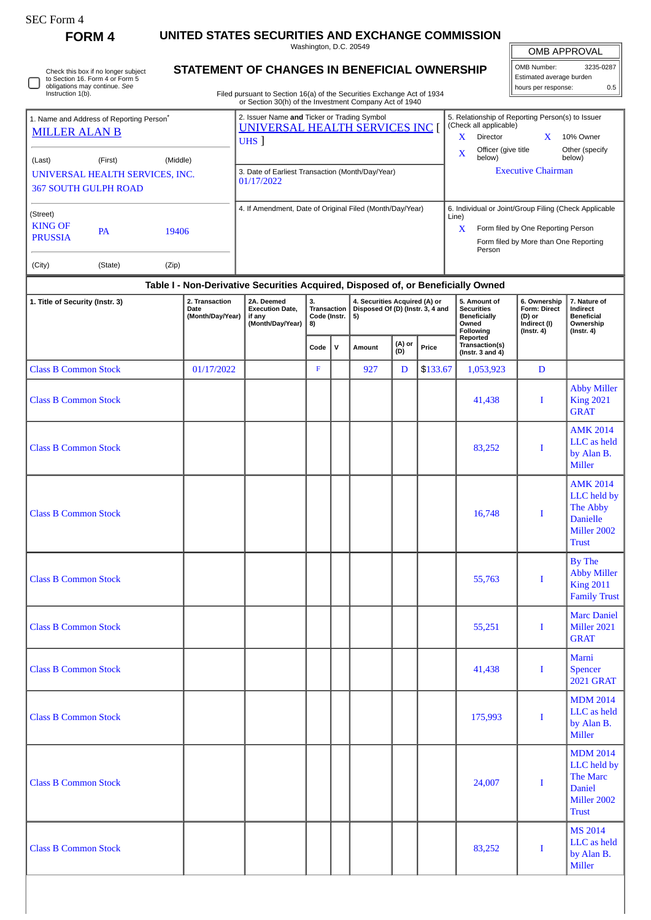| <b>SEC Form 4</b>                                                                                             |                                                                                         |                                                                                                                                      |                                         |  |                                                                                                                                                                                  |                                                                   |          |                                                                                |                                                                            |                                                                                              |
|---------------------------------------------------------------------------------------------------------------|-----------------------------------------------------------------------------------------|--------------------------------------------------------------------------------------------------------------------------------------|-----------------------------------------|--|----------------------------------------------------------------------------------------------------------------------------------------------------------------------------------|-------------------------------------------------------------------|----------|--------------------------------------------------------------------------------|----------------------------------------------------------------------------|----------------------------------------------------------------------------------------------|
| FORM 4                                                                                                        |                                                                                         | UNITED STATES SECURITIES AND EXCHANGE COMMISSION                                                                                     | Washington, D.C. 20549                  |  |                                                                                                                                                                                  |                                                                   |          |                                                                                | OMB APPROVAL                                                               |                                                                                              |
| Check this box if no longer subject<br>to Section 16. Form 4 or Form 5<br>obligations may continue. See       | STATEMENT OF CHANGES IN BENEFICIAL OWNERSHIP                                            |                                                                                                                                      |                                         |  | OMB Number:<br>3235-0287<br>Estimated average burden                                                                                                                             |                                                                   |          |                                                                                |                                                                            |                                                                                              |
| Instruction 1(b).                                                                                             |                                                                                         | Filed pursuant to Section 16(a) of the Securities Exchange Act of 1934<br>or Section 30(h) of the Investment Company Act of 1940     |                                         |  |                                                                                                                                                                                  |                                                                   |          |                                                                                | hours per response:                                                        | 0.5                                                                                          |
| 1. Name and Address of Reporting Person <sup>®</sup><br><b>MILLER ALAN B</b><br>(First)<br>(Middle)<br>(Last) | 2. Issuer Name and Ticker or Trading Symbol<br>UNIVERSAL HEALTH SERVICES INC<br>$UHS$ ] |                                                                                                                                      |                                         |  | 5. Relationship of Reporting Person(s) to Issuer<br>(Check all applicable)<br>Director<br>10% Owner<br>X.<br>X<br>Officer (give title<br>Other (specify<br>X<br>below)<br>below) |                                                                   |          |                                                                                |                                                                            |                                                                                              |
| UNIVERSAL HEALTH SERVICES, INC.<br><b>367 SOUTH GULPH ROAD</b>                                                | 3. Date of Earliest Transaction (Month/Day/Year)<br>01/17/2022                          |                                                                                                                                      |                                         |  | <b>Executive Chairman</b>                                                                                                                                                        |                                                                   |          |                                                                                |                                                                            |                                                                                              |
| (Street)<br><b>KING OF</b><br><b>PA</b><br>19406<br><b>PRUSSIA</b><br>(City)<br>(State)<br>(Zip)              | 4. If Amendment, Date of Original Filed (Month/Day/Year)                                | 6. Individual or Joint/Group Filing (Check Applicable<br>Form filed by One Reporting Person<br>Form filed by More than One Reporting |                                         |  |                                                                                                                                                                                  |                                                                   |          |                                                                                |                                                                            |                                                                                              |
|                                                                                                               |                                                                                         | Table I - Non-Derivative Securities Acquired, Disposed of, or Beneficially Owned                                                     |                                         |  |                                                                                                                                                                                  |                                                                   |          |                                                                                |                                                                            |                                                                                              |
| 1. Title of Security (Instr. 3)                                                                               | 2. Transaction<br>Date<br>(Month/Day/Year)                                              | 2A. Deemed<br><b>Execution Date,</b><br>if any<br>(Month/Day/Year)                                                                   | 3.<br>Transaction<br>Code (Instr.<br>8) |  | 5)                                                                                                                                                                               | 4. Securities Acquired (A) or<br>Disposed Of (D) (Instr. 3, 4 and |          | 5. Amount of<br><b>Securities</b><br><b>Beneficially</b><br>Owned<br>Following | 6. Ownership<br>Form: Direct<br>(D) or<br>Indirect (I)<br>$($ Instr. 4 $)$ | 7. Nature of<br>Indirect<br><b>Beneficial</b><br>Ownership<br>$($ Instr. 4 $)$               |
|                                                                                                               |                                                                                         |                                                                                                                                      | v<br>Code                               |  | Amount                                                                                                                                                                           | (A) or<br>Price<br>(D)                                            |          | Reported<br>Transaction(s)<br>(Instr. $3$ and $4$ )                            |                                                                            |                                                                                              |
| <b>Class B Common Stock</b>                                                                                   | 01/17/2022                                                                              |                                                                                                                                      | F                                       |  | 927                                                                                                                                                                              | D                                                                 | \$133.67 | 1,053,923                                                                      | D                                                                          |                                                                                              |
| <b>Class B Common Stock</b>                                                                                   |                                                                                         |                                                                                                                                      |                                         |  |                                                                                                                                                                                  |                                                                   |          | 41,438                                                                         | I                                                                          | <b>Abby Miller</b><br><b>King 2021</b><br><b>GRAT</b>                                        |
| <b>Class B Common Stock</b>                                                                                   |                                                                                         |                                                                                                                                      |                                         |  |                                                                                                                                                                                  |                                                                   |          | 83,252                                                                         | I                                                                          | <b>AMK 2014</b><br>LLC as held<br>by Alan B.<br><b>Miller</b>                                |
| <b>Class B Common Stock</b>                                                                                   |                                                                                         |                                                                                                                                      |                                         |  |                                                                                                                                                                                  |                                                                   |          | 16,748                                                                         | I                                                                          | <b>AMK 2014</b><br>LLC held by<br>The Abby<br><b>Danielle</b><br>Miller 2002<br><b>Trust</b> |
| <b>Class B Common Stock</b>                                                                                   |                                                                                         |                                                                                                                                      |                                         |  |                                                                                                                                                                                  |                                                                   |          | 55,763                                                                         | $\bf{I}$                                                                   | By The<br><b>Abby Miller</b><br><b>King 2011</b><br><b>Family Trust</b>                      |
| <b>Class B Common Stock</b>                                                                                   |                                                                                         |                                                                                                                                      |                                         |  |                                                                                                                                                                                  |                                                                   |          | 55,251                                                                         | I                                                                          | <b>Marc Daniel</b><br>Miller 2021<br><b>GRAT</b>                                             |
| <b>Class B Common Stock</b>                                                                                   |                                                                                         |                                                                                                                                      |                                         |  |                                                                                                                                                                                  |                                                                   |          | 41,438                                                                         | I                                                                          | Marni<br><b>Spencer</b><br><b>2021 GRAT</b>                                                  |
| <b>Class B Common Stock</b>                                                                                   |                                                                                         |                                                                                                                                      |                                         |  |                                                                                                                                                                                  |                                                                   |          | 175,993                                                                        | I                                                                          | <b>MDM 2014</b><br>LLC as held<br>by Alan B.<br><b>Miller</b>                                |
| <b>Class B Common Stock</b>                                                                                   |                                                                                         |                                                                                                                                      |                                         |  |                                                                                                                                                                                  |                                                                   |          | 24,007                                                                         | I                                                                          | <b>MDM 2014</b><br>LLC held by<br>The Marc<br>Daniel<br>Miller 2002<br><b>Trust</b>          |
| <b>Class B Common Stock</b>                                                                                   |                                                                                         |                                                                                                                                      |                                         |  |                                                                                                                                                                                  |                                                                   |          | 83,252                                                                         |                                                                            | <b>MS 2014</b><br>LLC as held                                                                |

by Alan B. Miller